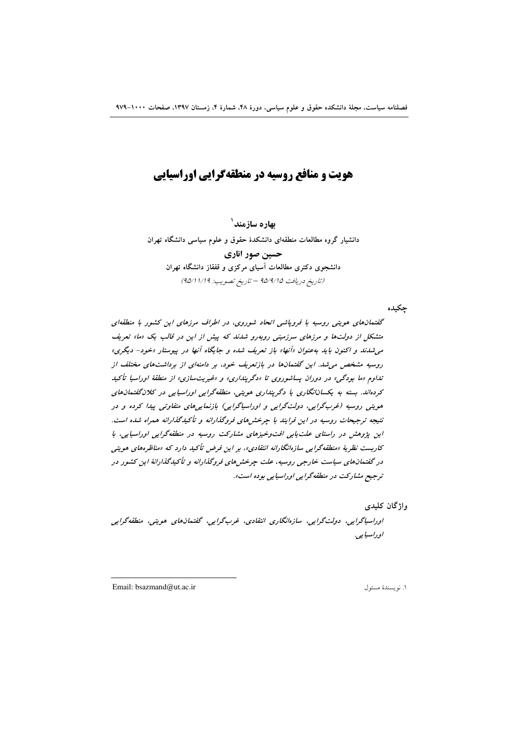# هویت و منافع روسیه در منطقهگرایی اوراسیایی

بهاره سازمند<sup>\</sup> دانشیار گروه مطالعات منطقهای دانشکدهٔ حقوق و علوم سیاسی دانشگاه تهران حسین صور اناری دانشجوی دکتری مطالعات آسیای مرکزی و قفقاز دانشگاه تهران (تاريخ دريافت 40/4/10 - تاريخ تصويب: 14/11/14)

چکیده

گفتمانهای هویتی روسیه با فروپاشی اتحاد شوروی، در اطراف مرزهای این کشور با منطقهای متشکل از دولتها و مرزهای سرزمینی روبهرو شدند که پیش از این در قالب یک «ما» تعریف می شدند و اکنون باید به عنوان «آنها» باز تعریف شده و جایگاه آنها در پیوستار «خود- دیگری» روسیه مشخص می شد. این گفتمانها در بازتعریف خود، بر دامنهای از برداشتهای مختلف از تداوم «ما بودگی» در دوران پساشوروی تا «دگرینداری» و «غیریتسازی» از منطقهٔ اوراسیا تأکید کردهاند. بسته به یکسانانگاری یا دگرینداری هویتی، منطقهگرایی اوراسیایی در کلان گفتمانهای هویتی روسیه (غربگرایی، دولتگرایی و اوراسیاگرایی) بازنمایی های متفاوتی پیدا کرده و در نتیجه ترجیحات روسیه در این فرایند با چرخشهای فروگذارانه و تأکیدگذارانه همراه شده است. این پژوهش در راستای علت پایی افت وخیزهای مشارکت روسیه در منطقهگرایی اوراسپایی، با کاربست نظریهٔ «منطقهگرایی سازهانگارانه انتقادی»، بر این فرض تأکید دارد که «مناظرههای هویتی در گفتمانهای سیاست خارجی روسیه، علت چرخش های فروگذارانه و تأکیدگذارانهٔ این کشور در ترجيع مشاركت در منطقهگرايي اوراسيايي بوده است».

واژگان کلیدی

اوراسپاگرايي، دولت گرايي، سازەانگاري انتقادي، غرب گرايي، گفتمان هاي هويتي، منطقه گرايي اوراسيا يه .

Email: bsazmand@ut.ac.ir

١. نو يسندهٔ مسئول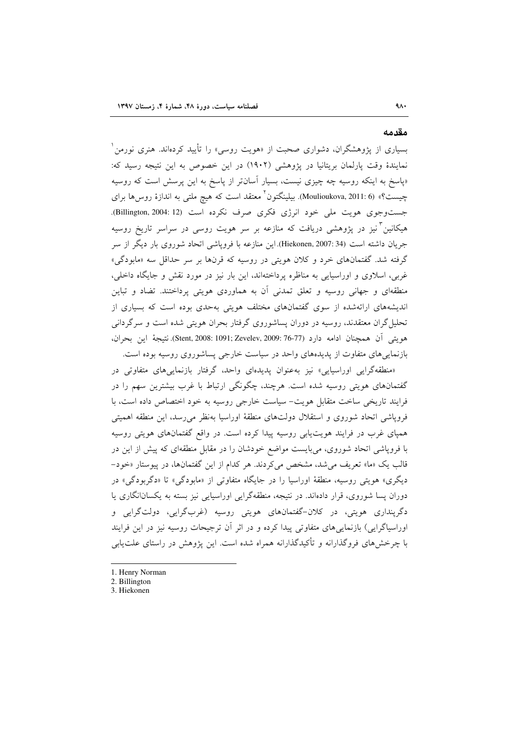#### مقدمه

بسیاری از پژوهشگران، دشواری صحبت از «هویت روسی» را تأیید کردهاند. هنری نورمن ٰ نمایندهٔ وقت پارلمان بریتانیا در پژوهشی (۱۹۰۲) در این خصوص به این نتیجه رسید که: «پاسخ به اینکه روسیه چه چیزی نیست، بسیار آسانتر از پاسخ به این پرسش است که روسیه چیست؟» (Moulioukova, 2011: 6). بیلینگتون<sup>۲</sup> معتقد است که هیچ ملت<sub>ی</sub> به اندازهٔ روس۵ها برای جست وجوى هويت ملى خود انرژى فكرى صرف نكرده است (Billington, 2004: 12). هیکانین<sup>۳</sup>نیز در پژوهشی دریافت که منازعه بر سر هویت روسی در سراسر تاریخ روسیه جريان داشته است (34:Hiekonen, 2007). اين منازعه با فروپاشي اتحاد شوروي بار ديگر از سر گرفته شد. گفتمانهای خرد و کلان هویتی در روسیه که قرنها بر سر حداقل سه «مابودگی» غربی، اسلاوی و اوراسیایی به مناظره پرداختهاند، این بار نیز در مورد نقش و جایگاه داخلی، منطقهای و جهانی روسیه و تعلق تمدنی آن به هماوردی هویتی پرداختند. تضاد و تباین اندیشههای ارائهشده از سوی گفتمانهای مختلف هویتی بهحدی بوده است که بسیاری از تحلیل گران معتقدند، روسیه در دوران پساشوروی گرفتار بحران هویتی شده است و سرگردانی هويتي أن همچنان ادامه دارد (77-76 :Stent, 2008: 1091; Zevelev, 2009). نتيجة اين بحران، بازنمایی های متفاوت از پدیدههای واحد در سیاست خارجی پساشوروی روسیه بوده است.

«منطقهگرایی اوراسیایی» نیز به عنوان پدیدهای واحد، گرفتار بازنمایی های متفاوتی در گفتمانهای هویتی روسیه شده است. هرچند، چگونگی ارتباط با غرب بیشترین سهم را در فرایند تاریخی ساخت متقابل هویت- سیاست خارجی روسیه به خود اختصاص داده است، با فروپاشی اتحاد شوروی و استقلال دولتهای منطقهٔ اوراسیا بهنظر میرسد، این منطقه اهمیتی همپای غرب در فرایند هویت یابی روسیه پیدا کرده است. در واقع گفتمانهای هویتی روسیه با فروپاشی اتحاد شوروی، میبایست مواضع خودشان را در مقابل منطقهای که پیش از این در قالب یک «ما» تعریف می شد، مشخص می کردند. هر کدام از این گفتمانها، در پیوستار «خود-دیگری» هویتی روسیه، منطقهٔ اوراسیا را در جایگاه متفاوتی از «مابودگی» تا «دگربودگی» در دوران پسا شوروی، قرار دادهاند. در نتیجه، منطقهگرایی اوراسیایی نیز بسته به یکسانانگاری یا دگرینداری هویتی، در کلان-گفتمانهای هویتی روسیه (غربگرایی، دولتگرایی و اوراسیاگرایی) بازنماییهای متفاوتی پیدا کرده و در اثر آن ترجیحات روسیه نیز در این فرایند با چرخشهای فروگذارانه و تأکیدگذارانه همراه شده است. این پژوهش در راستای علتLیابی

- 1. Henry Norman
- 2. Billington
- 3. Hiekonen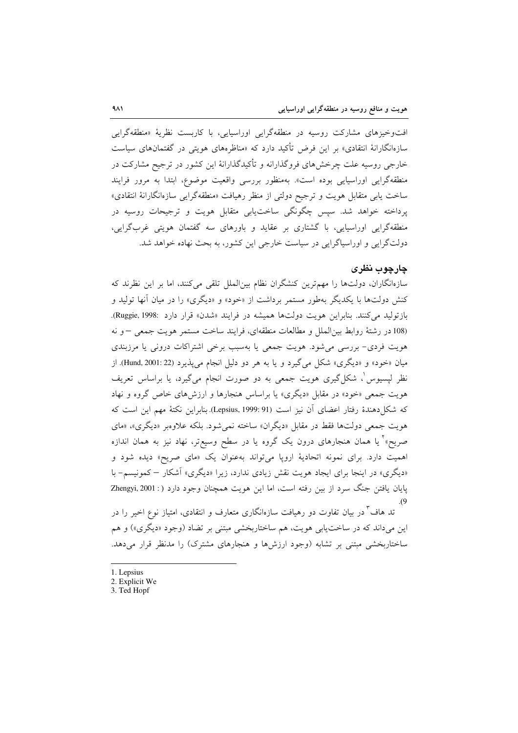افتوخیزهای مشارکت روسیه در منطقهگرایی اوراسیایی، با کاربست نظریهٔ «منطقهگرایی سازەانگارانهٔ انتقادی» بر این فرض تأکید دارد که «مناظرەهای هویتی در گفتمانهای سیاست خارجی روسیه علت چرخشهای فروگذارانه و تأکیدگذارانهٔ این کشور در ترجیح مشارکت در منطقهگرایی اوراسیایی بوده است». بهمنظور بررسی واقعیت موضوع، ابتدا به مرور فرایند ساخت یابی متقابل هویت و ترجیح دولتی از منظر رهیافت «منطقهگرایی سازهانگارانهٔ انتقادی» پرداخته خواهد شد. سپس چگونگی ساختیابی متقابل هویت و ترجیحات روسیه در منطقهگرایی اوراسیایی، با گشتاری بر عقاید و باورهای سه گفتمان هویتی غربگرایی، دولتگرایی و اوراسپاگرایی در سیاست خارجی این کشور، به بحث نهاده خواهد شد.

#### چارچوب نظری

سازهانگاران، دولتها را مهمترین کنشگران نظام بینالملل تلقی میکنند، اما بر این نظرند که کنش دولتها با یکدیگر بهطور مستمر برداشت از «خود» و «دیگری» را در میان آنها تولید و بازتولید می کنند. بنابراین هویت دولتها همیشه در فرایند «شدن» قرار دارد :Ruggie, 1998). (108 در رشتهٔ روابط بین الملل و مطالعات منطقهای، فرایند ساخت مستمر هویت جمعی -و نه هویت فردی- بررسی می شود. هویت جمعی یا بهسبب برخی اشتراکات درونی یا مرزبندی ميان «خود» و «ديگري» شكل مي گيرد و يا به هر دو دليل انجام مي پذيرد (Hund, 2001: 22). از نظر لپسیوس ْ، شکل گیری هویت جمعی به دو صورت انجام میگیرد، یا براساس تعریف هویت جمعی «خود» در مقابل «دیگری» یا براساس هنجارها و ارزشهای خاص گروه و نهاد که شکل(دهندهٔ رفتار اعضای آن نیز است (Lepsius, 1999: 91). بنابراین نکتهٔ مهم این است که هویت جمعی دولتها فقط در مقابل «دیگران» ساخته نمی شود. بلکه علاوهبر «دیگری»، «مای صریح»<sup>۲</sup> یا همان هنجارهای درون یک گروه یا در سطح وسیعتر، نهاد نیز به همان اندازه اهمیت دارد. برای نمونه اتحادیهٔ اروپا میتواند بهعنوان یک «مای صریح» دیده شود و «دیگری» در اینجا برای ایجاد هویت نقش زیادی ندارد، زیرا «دیگری» آشکار – کمونیسم- با پایان یافتن جنگ سرد از بین رفته است، اما این هویت همچنان وجود دارد (: Zhengyi, 2001

تد هاف<sup>۳</sup> در بیان تفاوت دو رهیافت سازمانگاری متعارف و انتقادی، امتیاز نوع اخیر را در اين ميداند كه در ساختيابي هويت، هم ساختاربخشي مبتني بر تضاد (وجود «ديگري») و هم ساختاربخشی مبتنی بر تشابه (وجود ارزشها و هنجارهای مشترک) را مدنظر قرار میدهد.

- 1. Lepsius
- 2. Explicit We
- 3. Ted Hopf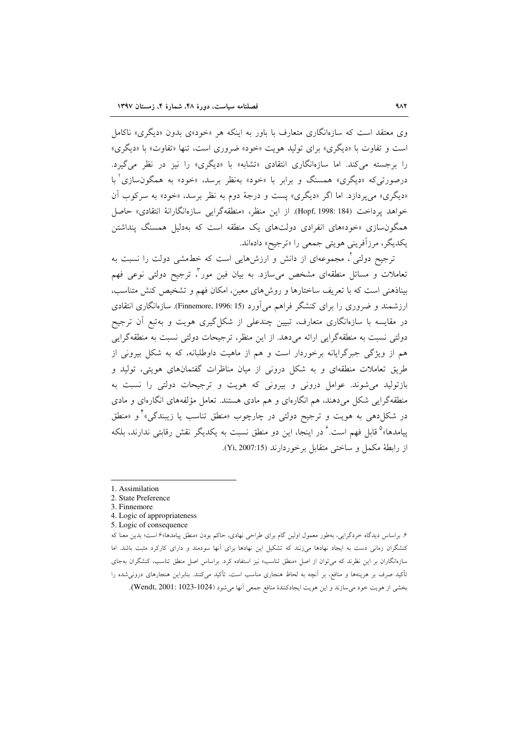وی معتقد است که سازهانگاری متعارف با باور به اینکه هر «خود»ی بدون «دیگری» ناکامل است و تفاوت با «دیگری» برای تولید هویت «خود» ضروری است، تنها «تفاوت» با «دیگری» را برجسته می کند. اما سازهانگاری انتقادی «تشابه» با «دیگری» را نیز در نظر می گیرد. درصورتي که «ديگري» همسنگ و پراين با «خود» بهنظر برسد، «خود» به همگون سازي پا «دیگری» می پردازد. اما اگر «دیگری» پست و درجهٔ دوم به نظر برسد، «خود» به سرکوب آن خواهد يرداخت (Hopf, 1998: 184). از اين منظر، «منطقهگرايي سازهانگارانهٔ انتقادي» حاصل همگون سازی «خود»های انفرادی دولتهای یک منطقه است که بهدلیل همسنگ پنداشتن یکدیگر، مرزآفرینی هویتی جمعی را «ترجیح» دادهاند.

ترجیح دولتی ً، مجموعهای از دانش و ارزشهایی است که خطـمشی دولت را نسبت به تعاملات و مسائل منطقهای مشخص میسازد. به بیان فین مور<sup>م</sup>، ترجیح دولت<sub>ی</sub> نوعی فهم بیناذهنی است که با تعریف ساختارها و روشهای معین، امکان فهم و تشخیص کنش متناسب، ارزشمند و ضروری را برای کنشگر فراهم میآورد (Finnemore, 1996: 15). سازمانگاری انتقادی در مقایسه با سازهانگاری متعارف، تبیین چندعلی از شکل گیری هویت و بهتبع آن ترجیح دولتی نسبت به منطقهگرایی ارائه میدهد. از این منظر، ترجیحات دولتی نسبت به منطقهگرایی هم از ویژگی جبرگرایانه برخوردار است و هم از ماهیت داوطلبانه، که به شکل بیرونی از طریق تعاملات منطقهای و به شکل درونی از میان مناظرات گفتمانهای هویتی، تولید و بازتولید می شوند. عوامل درونی و بیرونی که هویت و ترجیحات دولتی را نسبت به منطقهگرایی شکل می دهند، هم انگارهای و هم مادی هستند. تعامل مؤلفههای انگارهای و مادی در شکل(دهی به هویت و ترجیح دولتی در چارچوب «منطق تناسب یا زیبندگی»<sup>۲</sup> و «منطق پیامدها»<sup>۵</sup>قابل فهم است. ٌ در اینجا، این دو منطق نسبت به یکدیگر نقش رقابتی ندارند، بلکه از رابطة مكمل و ساختى متقابل برخوردارند (Yi, 2007:15).

۶. براساس دیدگاه خردگرایی، بهطور معمول اولین گام برای طراحی نهادی، حاکم بودن «منطق پیامدها»۶ است؛ بدین معنا که کنشگران زمانی دست به ایجاد نهادها می;زنند که تشکیل این نهادها برای آنها سودمند و دارای کارکرد مثبت باشد. اما سازهانگاران بر این نظرند که می توان از اصل «منطق تناسب» نیز استفاده کرد. براساس اصل منطق تناسب، کنشگران بهجای تأکید صرف بر هزینهها و منافع، بر آنچه به لحاظ هنجاری مناسب است، تأکید میکنند. بنابراین هنجارهای درونی شده را بخشي از هويت خود مي سازند و اين هويت ايجادكنندهٔ منافع جمعي اَنها مي شود (1024-1023 :Wendt, 2001).

<sup>1.</sup> Assimilation

<sup>2.</sup> State Preference

<sup>3.</sup> Finnemore

<sup>4.</sup> Logic of appropriateness

<sup>5.</sup> Logic of consequence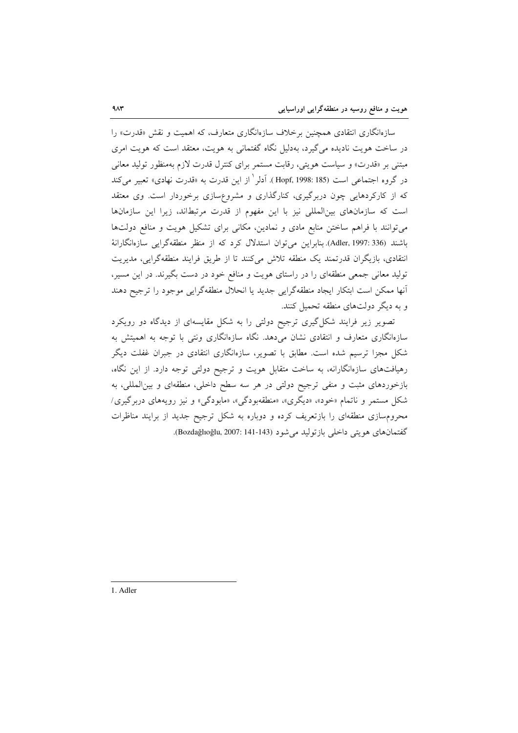سازهانگاری انتقادی همچنین برخلاف سازهانگاری متعارف، که اهمیت و نقش «قدرت» را در ساخت هویت نادیده میگیرد، بهدلیل نگاه گفتمانی به هویت، معتقد است که هویت امری مبتنی بر «قدرت» و سیاست هویتی، رقابت مستمر برای کنترل قدرت لازم بهمنظور تولید معانی در گروه اجتماعی است (Hopf, 1998: 185 ). آدلر ٰ از این قدرت به «قدرت نهادی» تعبیر میکند که از کارکردهایی چون دربرگیری، کنارگذاری و مشروعسازی برخوردار است. وی معتقد است که سازمانهای بینالمللی نیز با این مفهوم از قدرت مرتبطاند، زیرا این سازمانها می توانند با فراهم ساختن منابع مادی و نمادین، مکانی برای تشکیل هویت و منافع دولتها باشند (Adler, 1997: 336). بنابراین میتوان استدلال کرد که از منظر منطقهگرایی سازهانگارانهٔ انتقادی، بازیگران قدرتمند یک منطقه تلاش میکنند تا از طریق فرایند منطقهگرایی، مدیریت تولید معانی جمعی منطقهای را در راستای هویت و منافع خود در دست بگیرند. در این مسیر، أنها ممكن است ابتكار ايجاد منطقهگرايي جديد يا انحلال منطقهگرايي موجود را ترجيح دهند و به دیگر دولتهای منطقه تحمیل کنند.

تصویر زیر فرایند شکل گیری ترجیح دولتی را به شکل مقایسهای از دیدگاه دو رویکرد سازهانگاری متعارف و انتقادی نشان میدهد. نگاه سازهانگاری ونتی با توجه به اهمیتش به شکل مجزا ترسیم شده است. مطابق با تصویر، سازهانگاری انتقادی در جبران غفلت دیگر رهیافتهای سازهانگارانه، به ساخت متقابل هویت و ترجیح دولتی توجه دارد. از این نگاه، بازخوردهای مثبت و منفی ترجیح دولتی در هر سه سطح داخلی، منطقهای و بین المللی، به شکل مستمر و ناتمام «خود»، «دیگری»، «منطقهبودگی»، «مابودگی» و نیز رویههای دربرگیری/ محرومسازی منطقهای را بازتعریف کرده و دوباره به شکل ترجیح جدید از برایند مناظرات گفتمانهای هویتی داخلی بازتولید می شود (143-141 :2007 (Bozdağlıoğlu, 2007).

1. Adler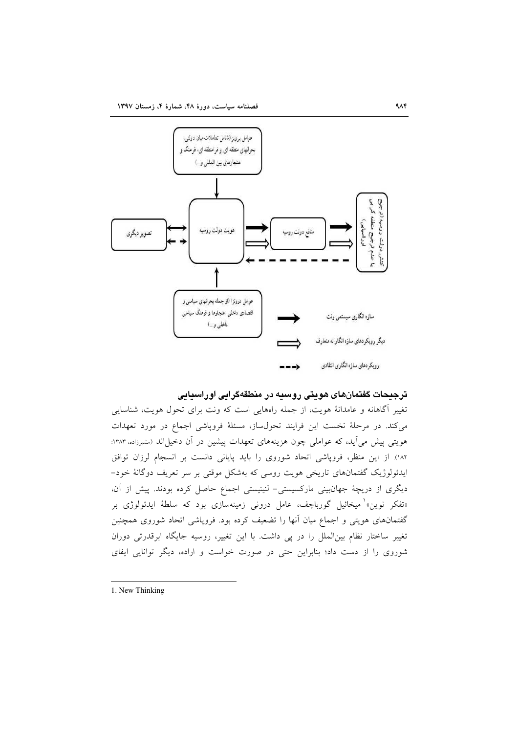

## ترجیحات گفتمانهای هویتی روسیه در منطقهگرایی اوراسیایی

تغییر آگاهانه و عامدانهٔ هویت، از جمله راههایی است که ونت برای تحول هویت، شناسایی می کند. در مرحلهٔ نخست این فرایند تحول ساز، مسئلهٔ فروپاشی اجماع در مورد تعهدات هویتی پیش میآید، که عواملی چون هزینههای تعهدات پیشین در آن دخیلاند (مشیرزاده، ۱۳۸۳: ١٨٢). از اين منظر، فروپاشي اتحاد شوروى را بايد پاياني دانست بر انسجام لرزان توافق ایدئولوژیک گفتمانهای تاریخی هویت روسی که بهشکل موقتی بر سر تعریف دوگانهٔ خود– دیگری از دریچهٔ جهانبینی مارکسیستی- لنینیستی اجماع حاصل کرده بودند. پیش از آن، «تفکر نوین»<sup>۱</sup> میخائیل گورباچف، عامل درون<sub>ی</sub> زمینهسازی بود که سلطهٔ ایدئولوژی بر گفتمانهای هویتی و اجماع میان آنها را تضعیف کرده بود. فروپاشی اتحاد شوروی همچنین تغییر ساختار نظام بینالملل را در پی داشت. با این تغییر، روسیه جایگاه ابرقدرتی دوران شوروی را از دست داد؛ بنابراین حتی در صورت خواست و اراده، دیگر توانایی ایفای

<sup>1.</sup> New Thinking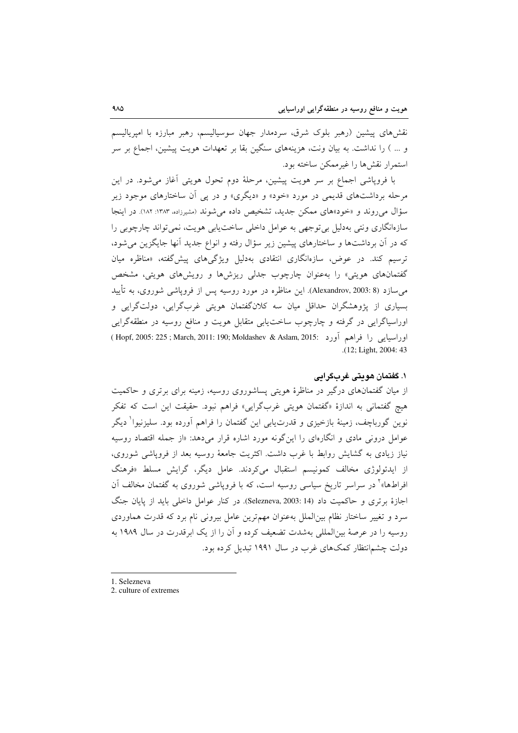نقشرهای پیشین (رهبر بلوک شرق، سردمدار جهان سوسیالیسم، رهبر مبارزه با امیریالیسم و … ) را نداشت. به بیان ونت، هزینههای سنگین بقا بر تعهدات هویت پیشین، اجماع بر سر استمرار نقشها را غیرممکن ساخته بود.

با فروپاشی اجماع بر سر هویت پیشین، مرحلهٔ دوم تحول هویتی آغاز میشود. در این مرحله برداشتهای قدیمی در مورد «خود» و «دیگری» و در یی آن ساختارهای موجود زیر سؤال می روند و «خود»های ممکن جدید، تشخیص داده می شوند (مشیرزاده، ۱۳۸۳: ۱۸۲). در اینجا سازهانگاری ونتی بهدلیل بی توجهی به عوامل داخلی ساخت یابی هویت، نمی تواند چارچوبی را که در آن برداشتها و ساختارهای پیشین زیر سؤال رفته و انواع جدید آنها جایگزین می شود، ترسیم کند. در عوض، سازهانگاری انتقادی بهدلیل ویژگیهای پیشگفته، «مناظره میان گفتمانهای هویتی» را بهعنوان چارچوب جدلی ریزشها و رویشهای هویتی، مشخص می سازد (Alexandrov, 2003: 8). این مناظره در مورد روسیه پس از فرویاشی شوروی، به تأیید بسیاری از پژوهشگران حداقل میان سه کلانگفتمان هویتی غربگرایی، دولتگرایی و اوراسیاگرایی در گرفته و چارچوب ساخت یابی متقابل هویت و منافع روسیه در منطقهگرایی (وراسيايي را فراهم أورد :March, 2011: 190; Moldashev & Aslam, 2015) ( Hopf, 2005: 225 ; March, 2011 .(12: Light, 2004: 43)

#### ١. گفتمان هويتي غربگرايي

از میان گفتمانهای درگیر در مناظرهٔ هویتی پساشوروی روسیه، زمینه برای برتری و حاکمیت هيچ گفتماني به اندازهٔ «گفتمان هويتي غربگرايي» فراهم نبود. حقيقت اين است كه تفكر نوین گورباچف، زمینهٔ بازخیزی و قدرت $\downarrow$ یی این گفتمان را فراهم آورده بود. سلیزنیوا ٰ دیگر عوامل درونی مادی و انگارهای را این گونه مورد اشاره قرار میدهد: «از جمله اقتصاد روسیه نیاز زیادی به گشایش روابط با غرب داشت. اکثریت جامعهٔ روسیه بعد از فروپاشی شوروی، از ایدئولوژی مخالف کمونیسم استقبال میکردند. عامل دیگر، گرایش مسلط «فرهنگ افراطها»<sup>۲</sup> در سراسر تاریخ سیاسی روسیه است، که با فروپاشی شوروی به گفتمان مخالف آن اجازهٔ برتری و حاکمیت داد (Selezneva, 2003: 14). در کنار عوامل داخلی باید از پایان جنگ سرد و تغییر ساختار نظام بین الملل بهعنوان مهمترین عامل بیرونی نام برد که قدرت هماوردی روسیه را در عرصهٔ بین|لمللی بهشدت تضعیف کرده و آن را از یک ابرقدرت در سال ۱۹۸۹ به دولت چشم|نتظار کمکهای غرب در سال ۱۹۹۱ تبدیل کرده بود.

- 1. Selezneva
- 2. culture of extremes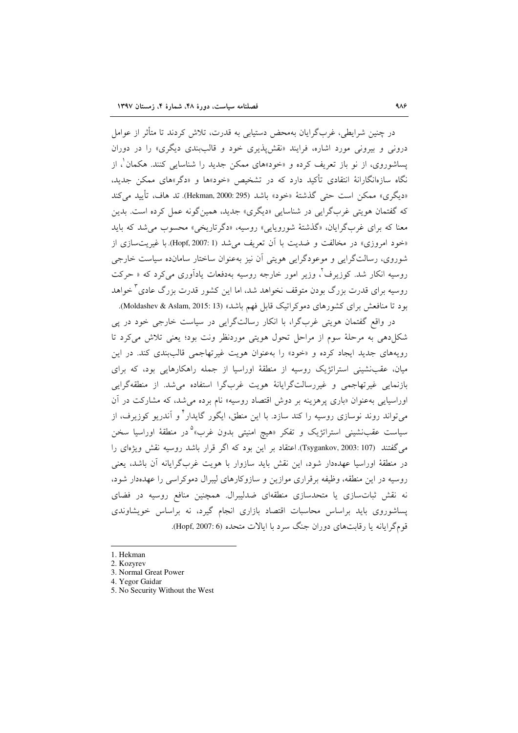در چنین شرایطی، غربگرایان بهمحض دستیابی به قدرت، تلاش کردند تا متأثر از عوامل درونی و پیرونی مورد اشاره، فرایند «نقش پذیری خود و قالب بندی دیگری» را در دوران یساشوروی، از نو باز تعریف کرده و «خود»های ممکن جدید را شناسایی کنند. هکمان ٰ، از نگاه سازهانگارانهٔ انتقادی تأکید دارد که در تشخیص «خود»ها و «دگر»های ممکن جدید، «ديگرى» ممكن است حتى گذشتهٔ «خود» باشد (Hekman, 2000: 295). تد هاف، تأييد مى كند که گفتمان هويتي غربگرايي در شناسايي «ديگري» جديد، همين گونه عمل کرده است. بدين معنا که برای غربگرایان، «گذشتهٔ شورویایی» روسیه، «دگرتاریخی» محسوب می شد که باید «خود امروزي» در مخالفت و ضديت با أن تعريف مي شد (Hopf, 2007: 1). با غيريتسازي از شوروی، رسالتگرایی و موعودگرایی هویتی آن نیز بهعنوان ساختار سامانده سیاست خارجی روسیه انکار شد. کوزیرف'، وزیر امور خارجه روسیه بهدفعات پادآوری می کرد که « حرکت روسیه برای قدرت بزرگ بودن متوقف نخواهد شد، اما این کشور قدرت بزرگ عادی <sup>۳</sup>خواهد بود تا منافعش برای کشورهای دموکراتیک قابل فهم باشد» (Moldashev & Aslam, 2015: 13).

در واقع گفتمان هویتی غربگرا، با انکار رسالتگرایی در سیاست خارجی خود در پی شکل دهی به مرحلهٔ سوم از مراحل تحول هویتی موردنظر ونت بود؛ یعنی تلاش میکرد تا رویههای جدید ایجاد کرده و «خود» را بهعنوان هویت غیرتهاجمی قالببندی کند. در این میان، عقب:شینی استراتژیک روسیه از منطقهٔ اوراسیا از جمله راهکارهایی بود، که برای بازنمایی غیرتهاجمی و غیررسالتگرایانهٔ هویت غربگرا استفاده می شد. از منطقهگرایی اوراسیایی به عنوان «باری پرهزینه بر دوش اقتصاد روسیه» نام برده می شد، که مشارکت در آن می تواند روند نوسازی روسیه را کند سازد. با این منطق، ایگور گایدار <sup>۴</sup> و آندریو کوزیرف، از سیاست عقب:شینی استراتژیک و تفکر «هیچ امنیتی بدون غرب»<sup>۵</sup>در منطقهٔ اوراسیا سخن می گفتند (Tsygankov, 2003: 107). اعتقاد بر این بود که اگر قرار باشد روسیه نقش ویژهای را در منطقهٔ اوراسیا عهدهدار شود، این نقش باید سازوار با هویت غربگرایانه آن باشد، یعنی روسیه در این منطقه، وظیفه برقراری موازین و سازوکارهای لیبرال دموکراسی را عهدهدار شود، نه نقش ثباتسازی یا متحدسازی منطقهای ضدلیبرال. همچنین منافع روسیه در فضای یساشوروی باید براساس محاسبات اقتصاد بازاری انجام گیرد، نه براساس خویشاوندی قومگرايانه يا رقابتهاي دوران جنگ سرد با ايالات متحده (Hopf, 2007: 6).

5. No Security Without the West

<sup>1.</sup> Hekman

<sup>2.</sup> Kozyrev

<sup>3.</sup> Normal Great Power

<sup>4.</sup> Yegor Gaidar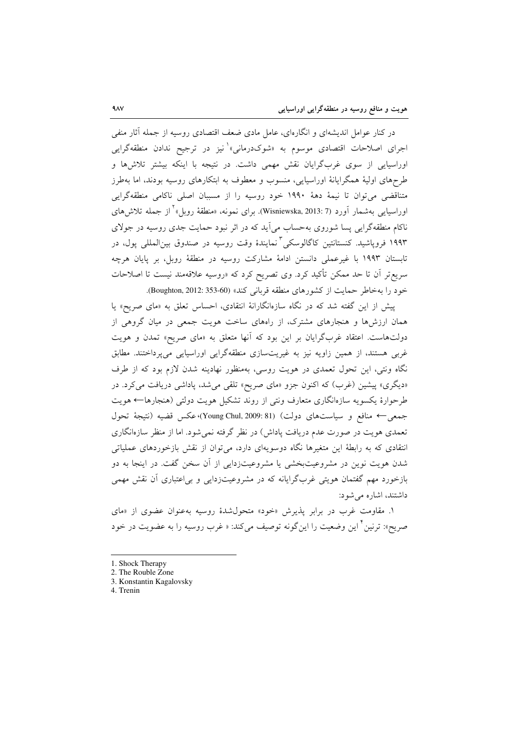در کنار عوامل اندیشهای و انگارهای، عامل مادی ضعف اقتصادی روسیه از جمله آثار منفی اجرای اصلاحات اقتصادی موسوم به «شوکدرمانی»<sup>۱</sup>نیز در ترجیح ندادن منطقهگرایی اوراسیایی از سوی غربگرایان نقش مهمی داشت. در نتیجه با اینکه بیشتر تلاشها و طرحهای اولیهٔ همگرایانهٔ اوراسیایی، منسوب و معطوف به ابتکارهای روسیه بودند، اما بهطرز متناقضی می توان تا نیمهٔ دههٔ ۱۹۹۰ خود روسیه را از مسببان اصلی ناکامی منطقهگرایی اوراسيايي بهشمار أورد (Wisniewska, 2013: 7). براي نمونه، «منطقهٔ روبل» ٰ از جمله تلاش هاي ناکام منطقهگرایی پسا شوروی به حساب می آید که در اثر نبود حمایت جدی روسیه در جولای ۱۹۹۳ فروپاشید. کنستانتین کاگالوسکی <sup>۳</sup>نمایندهٔ وقت روسیه در صندوق بین|لملل<sub>ی</sub> یول، در تابستان ۱۹۹۳ با غیرعملی دانستن ادامهٔ مشارکت روسیه در منطقهٔ روبل، بر پایان هرچه سریع تر آن تا حد ممکن تأکید کرد. وی تصریح کرد که «روسیه علاقهمند نیست تا اصلاحات خود را بهخاطر حمايت از كشورهاى منطقه قربانى كند» (Boughton, 2012: 353-60).

پیش از این گفته شد که در نگاه سازهانگارانهٔ انتقادی، احساس تعلق به «مای صریح» یا همان ارزشها و هنجارهای مشترک، از راههای ساخت هویت جمعی در میان گروهی از دولتهاست. اعتقاد غربگرایان بر این بود که آنها متعلق به «مای صریح» تمدن و هویت غربی هستند، از همین زاویه نیز به غیریتسازی منطقهگرایی اوراسیایی میپرداختند. مطابق نگاه ونتی، این تحول تعمدی در هویت روسی، بهمنظور نهادینه شدن لازم بود که از طرف «دیگری» پیشین (غرب) که اکنون جزو «مای صریح» تلقی می شد، پاداشی دریافت میکرد. در طرحوارهٔ یکسویه سازهانگاری متعارف ونتی از روند تشکیل هویت دولتی (هنجارها← هویت جمعي← منافع و سياستهاى دولت) (Young Chul, 2009: 81)، عكس قضيه (نتيجة تحول تعمدی هویت در صورت عدم دریافت پاداش) در نظر گرفته نمیشود. اما از منظر سازهانگاری انتقادی که به رابطهٔ این متغیرها نگاه دوسویهای دارد، میتوان از نقش بازخوردهای عملیاتی شدن هویت نوین در مشروعیتبخشی یا مشروعیتزدایی از آن سخن گفت. در اینجا به دو بازخورد مهم گفتمان هویتی غربگرایانه که در مشروعیتزدایی و بی|عتباری آن نقش مهمی داشتند، اشاره می شود:

۱. مقاومت غرب در برابر پذیرش «خود» متحول شدهٔ روسیه بهعنوان عضوی از «مای صريح»: ترنين َّ اين وضعيت را اين گونه توصيف مي كند: « غرب روسيه را به عضويت در خود

4. Trenin

<sup>1.</sup> Shock Therapy

<sup>2.</sup> The Rouble Zone

<sup>3.</sup> Konstantin Kagalovsky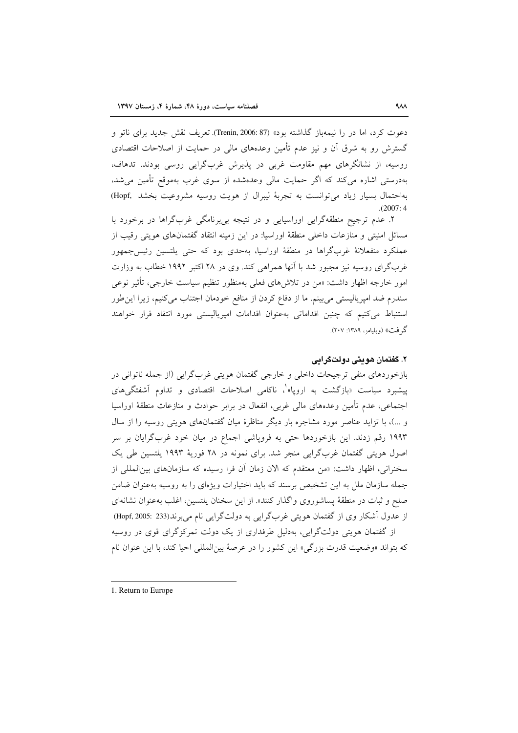دعوت کرد، اما در را نیمهباز گذاشته بود» (87 :Trenin, 2006). تعریف نقش جدید برای ناتو و گسترش رو به شرق آن و نیز عدم تأمین وعدههای مالی در حمایت از اصلاحات اقتصادی روسیه، از نشانگرهای مهم مقاومت غربی در پذیرش غربگرایی روسی بودند. تدهاف، بهدرستم ِ اشاره می کند که اگر حمایت مالی وعدهشده از سوی غرب بهموقع تأمین میشد، بهاحتمال بسیار زیاد میتوانست به تجربهٔ لیبرال از هویت روسیه مشروعیت بخشد .Hopf  $(2007:4)$ 

۲. عدم ترجیح منطقهگرایی اوراسیایی و در نتیجه بی برنامگی غربگراها در برخورد با مسائل امنیتی و منازعات داخلی منطقهٔ اوراسیا: در این زمینه انتقاد گفتمانهای هویتی رقیب از عملکرد منفعلانهٔ غربگراها در منطقهٔ اوراسیا، بهحدی بود که حتی یلتسین رئیس جمهور غربگرای روسیه نیز مجبور شد با آنها همراهی کند. وی در ۲۸ اکتبر ۱۹۹۲ خطاب به وزارت امور خارجه اظهار داشت: «من در تلاشهای فعلی بهمنظور تنظیم سیاست خارجی، تأثیر نوعی سندرم ضد امپریالیستی می بینم. ما از دفاع کردن از منافع خودمان اجتناب میکنیم، زیرا این طور استنباط می کنیم که چنین اقداماتی به عنوان اقدامات امیریالیستی مورد انتقاد قرار خواهند گر فت» (ویلیامز، ۱۳۸۹: ۲۰۷).

### ۲. گفتمان هويتي دولتگرايي

بازخوردهای منفی ترجیحات داخلی و خارجی گفتمان هویتی غربگرایی (از جمله ناتوانی در پیشبرد سیاست «بازگشت به اروپا»<sup>۱</sup>، ناکامی اصلاحات اقتصادی و تداوم آشفتگی۵ای اجتماعی، عدم تأمین وعدههای مالی غربی، انفعال در برابر حوادث و منازعات منطقهٔ اوراسیا و …)، با تزاید عناصر مورد مشاجره بار دیگر مناظرهٔ میان گفتمانهای هویتی روسیه را از سال ۱۹۹۳ رقم زدند. این بازخوردها حتی به فروپاشی اجماع در میان خود غربگرایان بر سر اصول هویتی گفتمان غربگرایی منجر شد. برای نمونه در ۲۸ فوریهٔ ۱۹۹۳ پلتسین طی یک سخنرانی، اظهار داشت: «من معتقدم که الان زمان آن فرا رسیده که سازمانهای بینالمللی از جمله سازمان ملل به این تشخیص برسند که باید اختیارات ویژهای را به روسیه بهعنوان ضامن صلح و ثبات در منطقهٔ پساشوروی واگذار کنند». از این سخنان پلتسین، اغلب بهعنوان نشانهای از عدول آشکار وی از گفتمان هویتی غربگرایی به دولتگرایی نام میبرند(Hopf, 2005: 233) از گفتمان هویتی دولتگرایی، بهدلیل طرفداری از یک دولت تمرکزگرای قوی در روسیه که بتواند «وضعیت قدرت بزرگی» این کشور را در عرصهٔ بین|لمللی احیا کند، با این عنوان نام

<sup>1.</sup> Return to Europe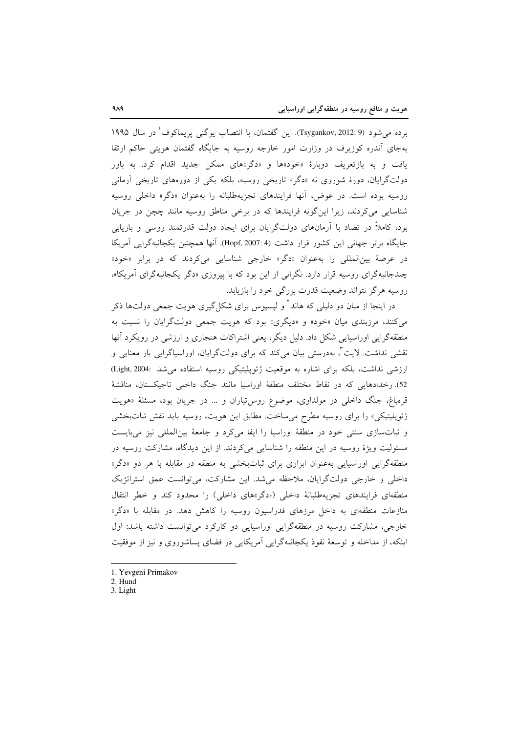برده می شود (Tsygankov, 2012: 9). این گفتمان، با انتصاب یوگنی پریماکوف ٰ در سال ۱۹۹۵ بهجای آندره کوزیرف در وزارت امور خارجه روسیه به جایگاه گفتمان هویتی حاکم ارتقا یافت و به بازتعریف دوبارهٔ «خود»ها و «دگر»های ممکن جدید اقدام کرد. به باور دولتگرایان، دورهٔ شوروی نه «دگر» تاریخی روسیه، بلکه یکی از دورههای تاریخی آرمانی روسیه بوده است. در عوض، آنها فرایندهای تجزیهطلبانه را بهعنوان «دگر» داخلی روسیه شناسایی می کردند، زیرا این گونه فرایندها که در برخی مناطق روسیه مانند چچن در جریان بود، کاملاً در تضاد با آرمانهای دولتگرایان برای ایجاد دولت قدرتمند روسی و بازیابی جایگاه برتر جهانی این کشور قرار داشت (Hopf, 2007: 4). آنها همچنین یکجانبهگرایی آمریکا در عرصهٔ بینالمللی را بهعنوان «دگر» خارجی شناسایی می کردند که در برابر «خود» چندجانبهگرای روسیه قرار دارد. نگرانی از این بود که با پیروزی «دگر یکجانبهگرای آمریکا»، روسیه هرگز نتواند وضعیت قدرت بزرگی خود را بازیابد.

در اینجا از میان دو دلیلی که هاند<sup>۲</sup> و لپسیوس برای شکل گیری هویت جمعی دولتها ذکر می کنند، مرزبندی میان «خود» و «دیگری» بود که هویت جمعی دولتگرایان را نسبت به منطقهگرایی اوراسیایی شکل داد. دلیل دیگر، یعنی اشتراکات هنجاری و ارزشی در رویکرد آنها نقشی نداشت. لایت<sup>۳</sup>، بهدرستی بیان میکند که برای دولتگرایان، اوراسیاگرایی بار معنایی و ارزشی نداشت، بلکه برای اشاره به موقعیت ژئوپلیتیکی روسیه استفاده می شد :Light, 2004 52). رخدادهایی که در نقاط مختلف منطقهٔ اوراسیا مانند جنگ داخلی تاجیکستان، مناقشهٔ قرمباغ، جنگ داخلی در مولداوی، موضوع روس تباران و ... در جریان بود، مسئلهٔ «هویت ژئوپلیتیکی» را برای روسیه مطرح می ساخت. مطابق این هویت، روسیه باید نقش ثباتبخشی و ثباتسازی سنتی خود در منطقهٔ اوراسیا را ایفا میکرد و جامعهٔ بینالمللی نیز میبایست مسئولیت ویژهٔ روسیه در این منطقه را شناسایی میکردند. از این دیدگاه، مشارکت روسیه در منطقهگرایی اوراسیایی بهعنوان ابزاری برای ثباتبخشی به منطقه در مقابله با هر دو «دگر» داخلی و خارجی دولتگرایان، ملاحظه می شد. این مشارکت، می توانست عمق استراتژیک منطقهای فرایندهای تجزیهطلبانهٔ داخلی («دگر»های داخلی) را محدود کند و خطر انتقال منازعات منطقهای به داخل مرزهای فدراسیون روسیه را کاهش دهد. در مقابله با «دگر» خارجی، مشارکت روسیه در منطقهگرایی اوراسیایی دو کارکرد می توانست داشته باشد: اول اینکه، از مداخله و توسعهٔ نفوذ یکجانبهگرایی آمریکایی در فضای پساشوروی و نیز از موفقیت

- 1. Yevgeni Primakov
- 2. Hund
- 3. Light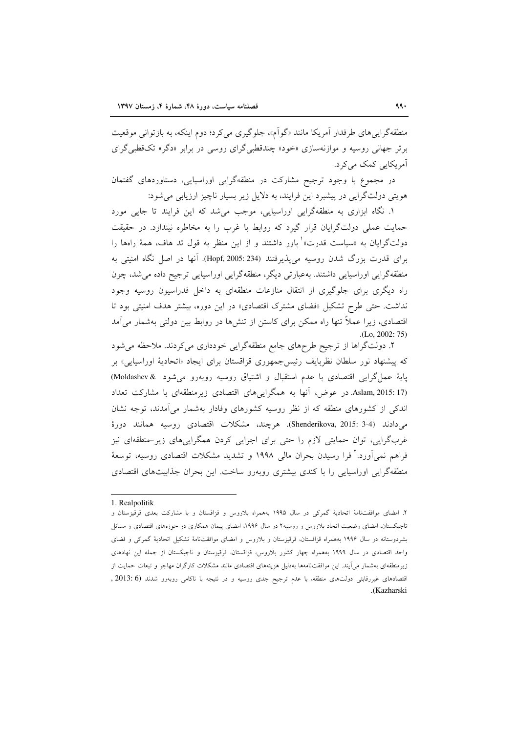منطقهگرایی های طرفدار آمریکا مانند «گوآم»، جلوگیری می کرد؛ دوم اینکه، به بازتوانی موقعیت برتر جهانی روسیه و موازنهسازی «خود» چندقطبی گرای روسی در برابر «دگر» تکقطبی گرای آمریکایی کمک می کرد.

در مجموع با وجود ترجیح مشارکت در منطقهگرایی اوراسیایی، دستاوردهای گفتمان هویتی دولتگرایی در پیشبرد این فرایند، به دلایل زیر بسیار ناچیز ارزیابی می شود:

۱. نگاه ابزاری به منطقهگرایی اوراسیایی، موجب می شد که این فرایند تا جایی مورد حمایت عملی دولتگرایان قرار گیرد که روابط با غرب را به مخاطره نیندازد. در حقیقت دولتگرایان به «سیاست قدرت»<sup>\</sup> باور داشتند و از این منظر به قول تد هاف، همهٔ راهها را برای قدرت بزرگ شدن روسیه می پذیرفتند (Hopf, 2005: 234). آنها در اصل نگاه امنیتی به منطقهگرایی اوراسپایی داشتند. بهعبارتی دیگر، منطقهگرایی اوراسپایی ترجیح داده می شد، چون راه دیگری برای جلوگیری از انتقال منازعات منطقهای به داخل فدراسیون روسیه وجود نداشت. حتی طرح تشکیل «فضای مشترک اقتصادی» در این دوره، بیشتر هدف امنیتی بود تا اقتصادی، زیرا عملاً تنها راه ممکن برای کاستن از تنشها در روابط بین دولتی بهشمار میآمد  $(Lo. 2002: 75)$ 

۲. دولتگراها از ترجیح طرحهای جامع منطقهگرایی خودداری میکردند. ملاحظه می شود که پیشنهاد نور سلطان نظربایف رئیس جمهوری قزاقستان برای ایجاد «اتحادیهٔ اوراسیایی» بر یایهٔ عمل گرایی اقتصادی با عدم استقبال و اشتیاق روسیه روبهرو می شود & Moldashev) (Aslam, 2015: 17. در عوض، آنها به همگراییهای اقتصادی زیرمنطقهای با مشارکت تعداد اندکی از کشورهای منطقه که از نظر روسیه کشورهای وفادار بهشمار می آمدند، توجه نشان م دادند (Shenderikova, 2015: 3-4). هرچند، مشكلات اقتصادي روسيه همانند دورهٔ غربگرایی، توان حمایتی لازم را حتی برای اجرایی کردن همگراییهای زیر-منطقهای نیز فراهم نمی[ورد.' فرا رسیدن بحران مالی ۱۹۹۸ و تشدید مشکلات اقتصادی روسیه، توسعهٔ منطقهگرایی اوراسیایی را با کندی بیشتری روبهرو ساخت. این بحران جذابیتهای اقتصادی

<sup>1.</sup> Realpolitik

۲. امضای موافقتنامهٔ اتحادیهٔ گمرکی در سال ۱۹۹۵ بههمراه بلاروس و قزاقستان و با مشارکت بعدی قرقیزستان و تاجیکستان، امضای وضعیت اتحاد بلاروس و روسیه۲ در سال ۱۹۹۶، امضای پیمان همکاری در حوزههای اقتصادی و مسائل بشردوستانه در سال ۱۹۹۶ بههمراه قزاقستان، قرقیزستان و بلاروس و امضای موافقتنامهٔ تشکیل اتحادیهٔ گمرکی و فضای واحد اقتصادی در سال ۱۹۹۹ بههمراه چهار کشور بلاروس، قزاقستان، قرقیزستان و تاجیکستان از جمله این نهادهای زیرمنطقهای بهشمار می]یند. این موافقتنامهها بهدلیل هزینههای اقتصادی مانند مشکلات کارگران مهاجر و تبعات حمایت از اقتصادهای غیررقابتی دولتهای منطقه، با عدم ترجیح جدی روسیه و در نتیجه با ناکامی روبهرو شدند (6 :2013 , .(Kazharski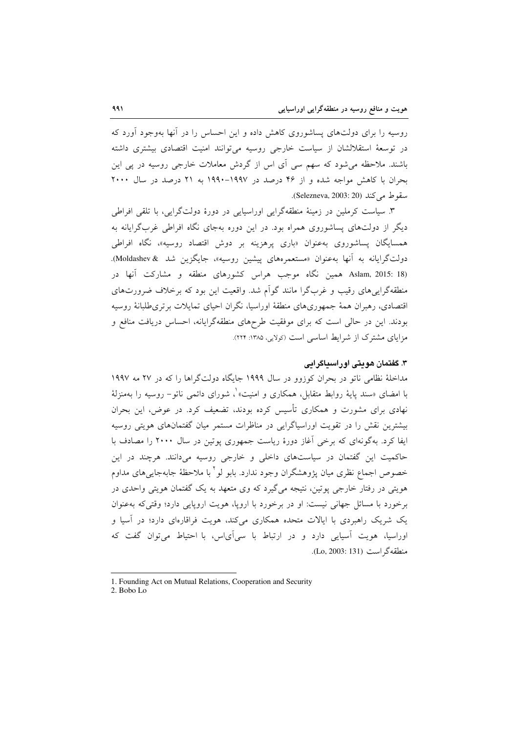روسیه را برای دولتهای پساشوروی کاهش داده و این احساس را در آنها بهوجود آورد که در توسعهٔ استقلالشان از سیاست خارجی روسیه می توانند امنیت اقتصادی بیشتری داشته باشند. ملاحظه می شود که سهم سی آی اس از گردش معاملات خارجی روسیه در پی این بحران با کاهش مواجه شده و از ۴۶ درصد در ۱۹۹۷-۱۹۹۰ به ۲۱ درصد در سال ۲۰۰۰ سقوط می کند (Selezneva, 2003: 20).

۳. سیاست کرملین در زمینهٔ منطقهگرایی اوراسیایی در دورهٔ دولتگرایی، با تلقی افراطی دیگر از دولتهای پساشوروی همراه بود. در این دوره بهجای نگاه افراطی غربگرایانه به همسایگان پساشوروی بهعنوان «باری پرهزینه بر دوش اقتصاد روسیه»، نگاه افراطی دولتگرایانه به آنها بهعنوان «مستعمرههای پیشین روسیه»، جایگزین شد & Moldashev). Aslam, 2015: 18) همین نگاه موجب هراس کشورهای منطقه و مشارکت آنها در منطقهگرابه های رقیب و غربگرا مانند گواّم شد. واقعیت این بود که برخلاف ضرورتهای اقتصادی، رهبران همهٔ جمهوریهای منطقهٔ اوراسیا، نگران احیای تمایلات برتریطلبانهٔ روسیه بودند. این در حالی است که برای موفقیت طرحهای منطقهگرایانه، احساس دریافت منافع و مزایای مشترک از شرایط اساسی است (کولایی، ۱۳۸۵: ۲۲۴).

## ۳. گفتمان هويتي اور اسپاگرايي

مداخلهٔ نظامی ناتو در بحران کوزوو در سال ۱۹۹۹ جایگاه دولتگراها را که در ۲۷ مه ۱۹۹۷ با امضای «سند پایهٔ روابط متقابل، همکاری و امنیت» ْ، شورای دائمی ناتو– روسیه را بهمنزلهٔ نهادی برای مشورت و همکاری تأسیس کرده بودند، تضعیف کرد. در عوض، این بحران بیشترین نقش را در تقویت اوراسپاگرایی در مناظرات مستمر میان گفتمانهای هویتی روسیه ایفا کرد. بهگونهای که برخی آغاز دورهٔ ریاست جمهوری پوتین در سال ۲۰۰۰ را مصادف با حاکمیت این گفتمان در سیاستهای داخلی و خارجی روسیه میدانند. هرچند در این خصوص اجماع نظري ميان يژوهشگران وجود ندارد. بابو لو <sup>۲</sup> با ملاحظهٔ جابهجاي<sub>ب</sub> هاي مداوم هویتی در رفتار خارجی پوتین، نتیجه میگیرد که وی متعهد به یک گفتمان هویتی واحدی در برخورد با مسائل جهانی نیست: او در برخورد با اروپا، هویت اروپایی دارد؛ وقتی که به عنوان یک شریک راهبردی با ایالات متحده همکاری میکند، هویت فراقارمای دارد؛ در آسیا و اوراسیا، هویت آسیایی دارد و در ارتباط با سی آیاس، با احتیاط می توان گفت که منطقه گر است (Lo, 2003: 131).

2. Bobo Lo

<sup>1.</sup> Founding Act on Mutual Relations, Cooperation and Security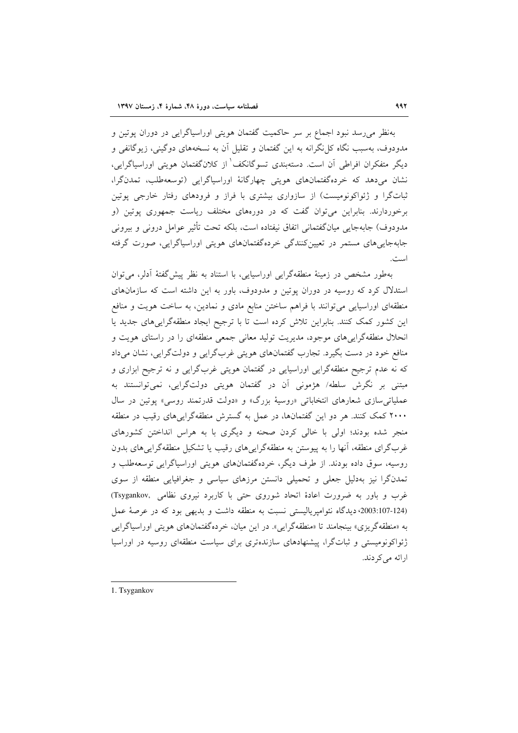بهنظر می رسد نبود اجماع بر سر حاکمیت گفتمان هویتی اوراسیاگرایی در دوران پوتین و مدودوف، بهسبب نگاه کل نگرانه به این گفتمان و تقلیل آن به نسخههای دوگینی، زیوگانفی و دیگر متفکران افراطی اّن است. دستهبندی تسوگانکف<sup>'</sup> از کلانگفتمان هویتی اوراسیاگرایی، نشان میدهد که خردهگفتمانهای هویتی چهارگانهٔ اوراسپاگرایی (توسعهطلب، تمدنگرا، ثباتگرا و ژئواکونومیست) از سازواری بیشتری با فراز و فرودهای رفتار خارجی پوتین برخوردارند. بنابراین می توان گفت که در دورههای مختلف ریاست جمهوری پوتین (و مدودوف) جابهجایی میانگفتمانی اتفاق نیفتاده است، بلکه تحت تأثیر عوامل درونی و بیرونی جابهجایی های مستمر در تعیین کنندگی خردهگفتمانهای هویتی اوراسپاگرایی، صورت گرفته است.

بهطور مشخص در زمینهٔ منطقهگرایی اوراسیایی، با استناد به نظر پیش گفتهٔ آدلر، می توان استدلال کرد که روسیه در دوران پوتین و مدودوف، باور به این داشته است که سازمانهای منطقهای اوراسیایی می توانند با فراهم ساختن منابع مادی و نمادین، به ساخت هویت و منافع این کشور کمک کنند. بنابراین تلاش کرده است تا با ترجیح ایجاد منطقهگراییهای جدید یا انحلال منطقهگراییهای موجود، مدیریت تولید معانی جمعی منطقهای را در راستای هویت و منافع خود در دست بگیرد. تجارب گفتمانهای هویتی غربگرایی و دولتگرایی، نشان میداد که نه عدم ترجیح منطقهگرایی اوراسیایی در گفتمان هویتی غربگرایی و نه ترجیح ابزاری و مبتنی بر نگرش سلطه/ هژمونی آن در گفتمان هویتی دولتگرایی، نمی توانستند به عملياتي سازي شعارهاي انتخاباتي «روسيهٔ بزرگ» و «دولت قدرتمند روسي» يوتين در سال ۲۰۰۰ کمک کنند. هر دو این گفتمانها، در عمل به گسترش منطقهگراییهای رقیب در منطقه منجر شده بودند؛ اولی با خالی کردن صحنه و دیگری با به هراس انداختن کشورهای غربگرای منطقه، آنها را به پیوستن به منطقهگراییهای رقیب یا تشکیل منطقهگراییهای بدون روسیه، سوق داده بودند. از طرف دیگر، خردهگفتمانهای هویتی اوراسیاگرایی توسعهطلب و تمدنگرا نیز بهدلیل جعلی و تحمیلی دانستن مرزهای سیاسی و جغرافیایی منطقه از سوی غرب و باور به ضرورت اعادهٔ اتحاد شوروی حتی با کاربرد نیروی نظامی ,Tsygankov (124-2003:107؛ ديدگاه نئواميرياليستي نسبت به منطقه داشت و بديهي بود كه در عرصهٔ عمل به «منطقه گريزي» بينجامند تا «منطقه گرايبي». در اين ميان، خرده گفتمانهاي هويتي اوراسياگرايي ژئواکونومیستی و ثباتگرا، پیشنهادهای سازندهتری برای سیاست منطقهای روسیه در اوراسیا ارائه مي كردند.

<sup>1.</sup> Tsygankov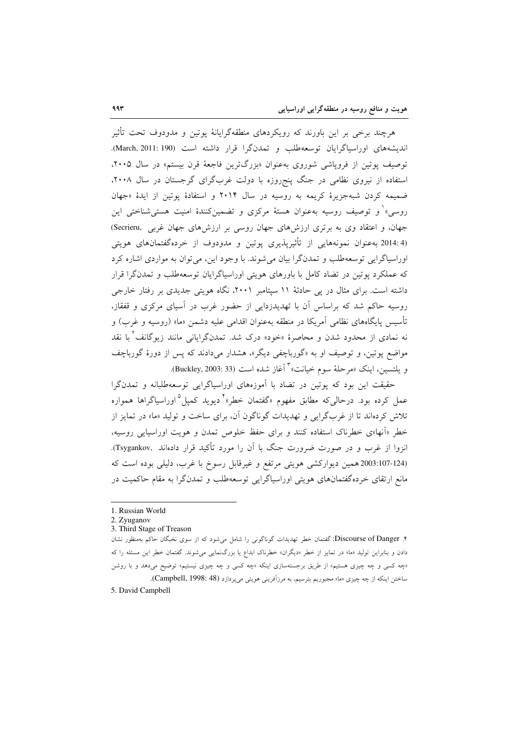هرچند برخی بر این باورند که رویکردهای منطقهگرایانهٔ پوتین و مدودوف تحت تأثیر اندیشههای اوراسپاگرایان توسعهطلب و تمدنگرا قرار داشته است (March, 2011: 190). توصیف پوتین از فروپاشی شوروی بهعنوان «بزرگترین فاجعهٔ قرن بیستم» در سال ۲۰۰۵، استفاده از نیروی نظامی در جنگ پنجروزه با دولت غربگرای گرجستان در سال ۲۰۰۸، ضمیمه کردن شبهجزیرهٔ کریمه به روسیه در سال ۲۰۱۴ و استفادهٔ یوتین از ایدهٔ «جهان روسی» و توصیف روسیه بهعنوان هستهٔ مرکزی و تضمینکنندهٔ امنیت هستیشناختی این جهان، و اعتقاد وی به برتری ارزشهای جهان روسی بر ارزشهای جهان غربی Secrieru, (4:2014 بهعنوان نمونههایی از تأثیریذیری یوتین و مدودوف از خردهگفتمانهای هویتی اوراسیاگرایی توسعهطلب و تمدنگرا بیان می شوند. با وجود این، می توان به مواردی اشاره کرد که عملکرد پوتین در تضاد کامل با باورهای هویتی اوراسیاگرایان توسعهطلب و تمدنگرا قرار داشته است. برای مثال در پی حادثهٔ ۱۱ سیتامبر ۲۰۰۱، نگاه هویتی جدیدی بر رفتار خارجی روسیه حاکم شد که براساس اَن با تهدیدزدایی از حضور غرب در اسیای مرکزی و قفقاز، تأسیس پایگاههای نظامی آمریکا در منطقه بهعنوان اقدامی علیه دشمن «ما» (روسیه و غرب) و نه نمادی از محدود شدن و محاصرهٔ «خود» درک شد. تمدنگرایانی مانند زیوگانف<sup>۲</sup> با نقد مواضع پوتین، و توصیف او به «گورباچفی دیگر»، هشدار میدادند که پس از دورهٔ گورباچف و يلتسين، اينك «مرحلهٔ سوم خيانت» ّ أغاز شده است (Buckley, 2003: 33).

حقیقت این بود که پوتین در تضاد با آموزههای اوراسیاگرایی توسعهطلبانه و تمدنگرا عمل کرده بود. درحالی که مطابق مفهوم «گفتمان خطر»<sup>۴</sup> دیوید کمیل<sup>۵</sup>اوراسیاگراها همواره تلاش کردهاند تا از غربگرایی و تهدیدات گوناگون آن، برای ساخت و تولید «ما» در تمایز از خطر «أنها»ی خطرناک استفاده کنند و برای حفظ خلوص تمدن و هویت اوراسیایی روسیه، انزوا از غرب و در صورت ضرورت جنگ با آن را مورد تأکید قرار دادهاند .Tsygankov). (124-2003:107 همین دیوارکشی هویتی مرتفع و غیرقابل رسوخ با غرب، دلیلی بوده است که مانع ارتقای خردهگفتمانهای هویتی اوراسیاگرایی توسعهطلب و تمدنگرا به مقام حاکمیت در

<sup>1.</sup> Russian World

<sup>2.</sup> Zyuganov

<sup>3.</sup> Third Stage of Treason

۴. Discourse of Danger: گفتمان خطر تهدیدات گوناگونی را شامل می شود که از سوی نخبگان حاکم بهمنظور نشان دادن و بنابراین تولید «ما» در تمایز از خطر «دیگران» خطرناک ابداع یا بزرگنمایی می شوند. گفتمان خطر این مسئله را که «چه کسی و چه چیزی هستیم» از طریق برجستهسازی اینکه «چه کسی و چه چیزی نیستیم» توضیح میدهد و با روشن ساختن اینکه از چه چیزی «ما» مجبوریم بترسیم، به مرزآفرینی هویتی میپردازد (Campbell, 1998: 48). 5. David Campbell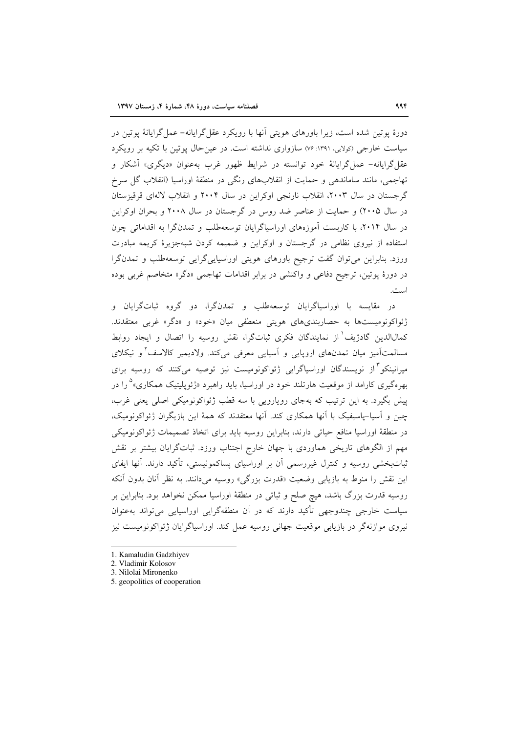دورهٔ پوتین شده است، زیرا باورهای هویتی آنها با رویکرد عقل گرایانه– عمل گرایانهٔ یوتین در سیاست خارجی (کولایی ۱۳۹۱: ۷۶) سازواری نداشته است. در عین حال یوتین با تکیه بر رویکرد عقل گرایانه- عمل گرایانهٔ خود توانسته در شرایط ظهور غرب بهعنوان «دیگری» آشکار و تهاجمی، مانند ساماندهی و حمایت از انقلابهای رنگی در منطقهٔ اوراسیا (انقلاب گل سرخ گر جستان در سال ۲۰۰۳، انقلاب نارنجی اوکراین در سال ۲۰۰۴ و انقلاب لالهای قرقیزستان در سال ۲۰۰۵) و حمایت از عناصر ضد روس در گرجستان در سال ۲۰۰۸ و بحران اوکراین در سال ۲۰۱۴، با کاربست آموزههای اوراسپاگرایان توسعهطلب و تمدنگرا به اقداماتی چون استفاده از نیروی نظامی در گرجستان و اوکراین و ضمیمه کردن شبهجزیرهٔ کریمه مبادرت ورزد. بنابراین می توان گفت ترجیح باورهای هویتی اوراسیاییگرایی توسعهطلب و تمدنگرا در دورهٔ پوتین، ترجیح دفاعی و واکنشی در برابر اقدامات تهاجمی «دگر» متخاصم غربی بوده است.

در مقایسه با اوراسیاگرایان توسعهطلب و تمدنگرا، دو گروه ثباتگرایان و ژئواکونومیستها به حصاربندیهای هویتی منعطفی میان «خود» و «دگر» غربی معتقدند. كمال|لدين گادژيف' از نمايندگان فكرى ثباتگرا، نقش روسيه را اتصال و ايجاد روابط مسالمتآمیز میان تمدنهای اروپایی و آسیایی معرفی میکند. ولادیمیر کالاسف<sup>۲</sup>و نیکلای میرانینکو <sup>۳</sup>از نویسندگان اوراسیاگرایی ژئواکونومیست نیز توصیه میکنند که روسیه برای بهرهگیری کارامد از موقعیت هارتلند خود در اوراسیا، باید راهبرد «ژئوپلیتیک همکاری»<sup>۵</sup> را در پیش بگیرد. به این ترتیب که بهجای رویارویی با سه قطب ژئواکونومیکی اصلی یعنی غرب، چین و آسیا-پاسیفیک با آنها همکاری کند. آنها معتقدند که همهٔ این بازیگران ژئواکونومیک، در منطقهٔ اوراسیا منافع حیاتی دارند، بنابراین روسیه باید برای اتخاذ تصمیمات ژئواکونومیکی مهم از الگوهای تاریخی هماوردی با جهان خارج اجتناب ورزد. ثباتگرایان بیشتر بر نقش ثباتبخشی روسیه و کنترل غیررسمی آن بر اوراسیای پساکمونیستی، تأکید دارند. آنها ایفای این نقش را منوط به بازیابی وضعیت «قدرت بزرگی» روسیه میدانند. به نظر آنان بدون آنکه روسیه قدرت بزرگ باشد، هیچ صلح و ثباتی در منطقهٔ اوراسیا ممکن نخواهد بود. بنابراین بر سیاست خارجی چندوجهی تأکید دارند که در آن منطقهگرایی اوراسیایی میتواند بهعنوان نیروی موازنهگر در بازیابی موقعیت جهانی روسیه عمل کند. اوراسپاگرایان ژئواکونومیست نیز

5. geopolitics of cooperation

<sup>1.</sup> Kamaludin Gadzhiyev

<sup>2.</sup> Vladimir Kolosov

<sup>3.</sup> Nilolai Mironenko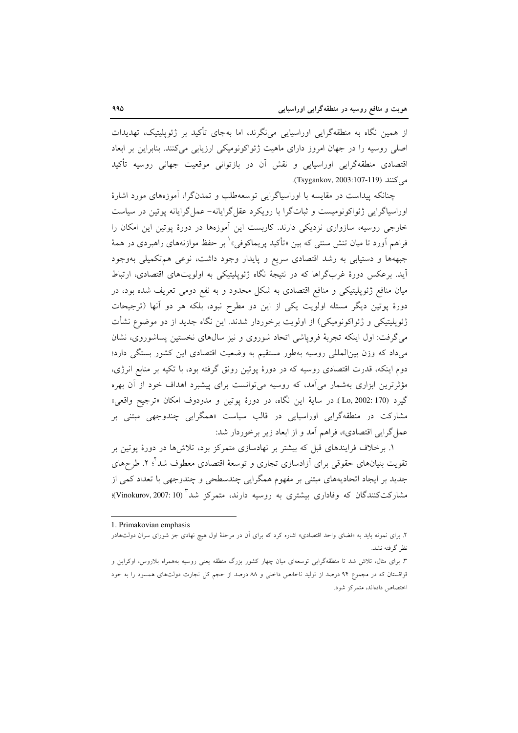از همین نگاه به منطقهگرایی اوراسیایی مینگرند، اما بهجای تأکید بر ژئوپلیتیک، تهدیدات اصلی روسیه را در جهان امروز دارای ماهیت ژئواکونومیکی ارزیابی می کنند. بنابراین بر ابعاد اقتصادی منطقهگرایی اوراسیایی و نقش آن در بازتوانی موقعیت جهانی روسیه تأکید مي كنند (Tsygankov, 2003:107-119).

چنانکه پیداست در مقایسه با اوراسیاگرایی توسعهطلب و تمدنگرا، آموزههای مورد اشارهٔ اوراسیاگرایی ژئواکونومیست و ثباتگرا با رویکرد عقل گرایانه- عمل گرایانه یوتین در سیاست خارجی روسیه، سازواری نزدیکی دارند. کاربست این آموزهها در دورهٔ پوتین این امکان را فراهم أورد تا ميان تنش سنتي كه بين «تأكيد يريماكوفي» ٰ بر حفظ موازنههاي راهبردي در همهٔ جبههها و دستیابی به رشد اقتصادی سریع و پایدار وجود داشت، نوعی هم تکمیلی بهوجود آید. برعکس دورهٔ غربگراها که در نتیجهٔ نگاه ژئوپلیتیکی به اولویتهای اقتصادی، ارتباط میان منافع ژئوپلیتیکی و منافع اقتصادی به شکل محدود و به نفع دومی تعریف شده بود، در دورهٔ پوتین دیگر مسئله اولویت یکی از این دو مطرح نبود، بلکه هر دو آنها (ترجیحات ژئوپلیتیکی و ژئواکونومیکی) از اولویت برخوردار شدند. این نگاه جدید از دو موضوع نشأت می گرفت: اول اینکه تجربهٔ فروپاشی اتحاد شوروی و نیز سالهای نخستین پساشوروی، نشان می داد که وزن بین المللی روسیه بهطور مستقیم به وضعیت اقتصادی این کشور بستگی دارد؛ دوم اینکه، قدرت اقتصادی روسیه که در دورهٔ پوتین رونق گرفته بود، با تکیه بر منابع انرژی، مؤثرترین ابزاری بهشمار میآمد، که روسیه میتوانست برای پیشبرد اهداف خود از آن بهره گيرد (Lo, 2002: 170) در سايهٔ اين نگاه، در دورهٔ يوتين و مدودوف امكان «ترجيح واقعي» مشارکت در منطقهگرایی اوراسیایی در قالب سیاست «همگرایی چندوجهی مبتنی بر عمل گرایی اقتصادی»، فراهم آمد و از ابعاد زیر برخوردار شد:

۱. برخلاف فرایندهای قبل که بیشتر بر نهادسازی متمرکز بود، تلاشها در دورهٔ پوتین بر تقويت بنيانهاي حقوقي براي آزادسازي تجاري و توسعهٔ اقتصادي معطوف شد<sup>٢</sup>؛ ٢. طرحهاي جدید بر ایجاد اتحادیههای مبتنی بر مفهوم همگرایی چندسطحی و چندوجهی با تعداد کمی از مشارکتکنندگان که وفاداری بیشتری به روسیه دارند، متمرکز شد "(Vinokurov, 2007: 10)؛

<sup>1.</sup> Primakovian emphasis

۲. برای نمونه باید به «فضای واحد اقتصادی» اشاره کرد که برای آن در مرحلهٔ اول هیچ نهادی جز شورای سران دولتهادر نظر گرفته نشد.

۳. برای مثال، تلاش شد تا منطقهگرایی توسعهای میان چهار کشور بزرگ منطقه یعنی روسیه بههمراه بلاروس، اوکراین و قزاقستان که در مجموع ۹۴ درصد از تولید ناخالص داخلی و ۸۸ درصد از حجم کل تجارت دولتهای همسود را به خود اختصاص دادهاند، متمرکز شود.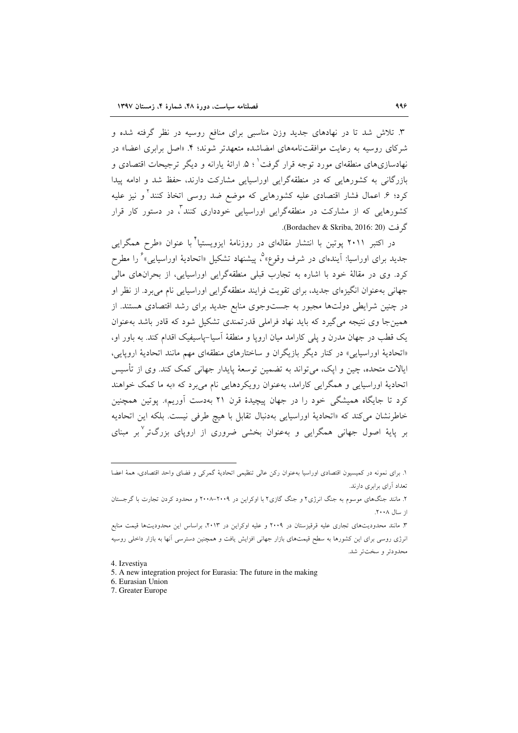۳. تلاش شد تا در نهادهای جدید وزن مناسبی برای منافع روسیه در نظر گرفته شده و شرکای روسیه به رعایت موافقتنامههای امضاشده متعهدتر شوند؛ ۴. «اصل برابری اعضا» در نهادسازی های منطقهای مورد توجه قرار گرفت ک ۵. ارائهٔ پارانه و دیگر ترجیحات اقتصادی و بازرگانی به کشورهایی که در منطقهگرایی اوراسیایی مشارکت دارند، حفظ شد و ادامه پیدا کرد؛ ۶ـ اعمال فشار اقتصادی علیه کشورهایی که موضع ضد روسی اتخاذ کنند<sup>۲</sup> و نیز علیه کشورهایی که از مشارکت در منطقهگرایی اوراسیایی خودداری کنند<sup>۳</sup>، در دستور کار قرار گ فت (Bordachev & Skriba, 2016: 20).

در اکتبر ۲۰۱۱ یوتین با انتشار مقالهای در روزنامهٔ ایزویستیا<sup>۲</sup> با عنوان «طرح همگرایی جدید برای اوراسیا: آیندهای در شرف وقوع»<sup>م</sup>، پیشنهاد تشکیل «اتحادیهٔ اوراسیایی» ٔ را مطرح کرد. وی در مقالهٔ خود با اشاره به تجارب قبلی منطقهگرایی اوراسیایی، از بحرانهای مالی جهاني بهعنوان انگيزهاي جديد، براي تقويت فرايند منطقهگرايي اوراسيايي نام مي برد. از نظر او در چنین شرایطی دولتها مجبور به جستوجوی منابع جدید برای رشد اقتصادی هستند. از همین جا وی نتیجه می گیرد که باید نهاد فراملی قدرتمندی تشکیل شود که قادر باشد بهعنوان یک قطب در جهان مدرن و پلی کارامد میان اروپا و منطقهٔ آسیا–پاسیفیک اقدام کند. به باور او، «اتحادیهٔ اوراسیایی» در کنار دیگر بازیگران و ساختارهای منطقهای مهم مانند اتحادیهٔ اروپایی، ایالات متحده، چین و ایک، می تواند به تضمین توسعهٔ پایدار جهانی کمک کند. وی از تأسیس اتحادیهٔ اوراسیایی و همگرایی کارامد، بهعنوان رویکردهایی نام میبرد که «به ما کمک خواهند کرد تا جایگاه همیشگی خود را در جهان پیچیدهٔ قرن ۲۱ بهدست آوریم». یوتین همچنین خاطرنشان می کند که «اتحادیهٔ اوراسیایی بهدنبال تقابل با هیچ طرفی نیست. بلکه این اتحادیه بر پایهٔ اصول جهانی همگرایی و بهعنوان بخشی ضروری از اروپای بزرگتر<sup>۷</sup>بر مبنای

١. برای نمونه در کمیسیون اقتصادی اوراسیا بهعنوان رکن عالمی تنظیمی اتحادیهٔ گمرکی و فضای واحد اقتصادی، همهٔ اعضا تعداد آراي برابري دارند.

۲. مانند جنگهای موسوم به جنگ انرژی۲ و جنگ گازی۲ با اوکراین در ۲۰۰۹–۲۰۰۸ و محدود کردن تجارت با گرجستان از سال ۲۰۰۸.

۳. مانند محدودیتهای تجاری علیه قرقیزستان در ۲۰۰۹ و علیه اوکراین در ۲۰۱۳، براساس این محدودیتها قیمت منابع انرژی روسی برای این کشورها به سطح قیمتهای بازار جهانی افزایش یافت و همچنین دسترسی آنها به بازار داخلی روسیه محدودتر و سختتر شد.

<sup>4.</sup> Izvestiva

<sup>5.</sup> A new integration project for Eurasia: The future in the making

<sup>6.</sup> Eurasian Union

<sup>7.</sup> Greater Europe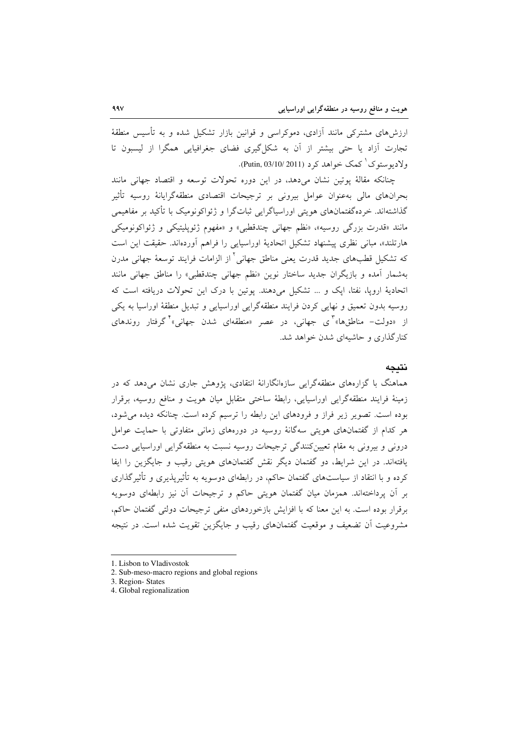ارزشهای مشترکی مانند اَزادی، دموکراسی و قوانین بازار تشکیل شده و به تأسیس منطقهٔ تجارت آزاد یا حتی بیشتر از آن به شکل گیری فضای جغرافیایی همگرا از لیسبون تا ولاديوستوک<sup>'</sup> کمک خواهد کرد (Putin, 03/10/ 2011).

چنانکه مقالهٔ یوتین نشان میدهد، در این دوره تحولات توسعه و اقتصاد جهانی مانند بحرانهای مالی بهعنوان عوامل بیرونی بر ترجیحات اقتصادی منطقهگرایانهٔ روسیه تأثیر گذاشتهاند. خردهگفتمانهای هویتی اوراسپاگرایی ثباتگرا و ژئواکونومیک با تأکید بر مفاهیمی مانند «قدرت بزرگی روسیه»، «نظم جهانی چندقطبی» و «مفهوم ژئوپلیتیکی و ژئواکونومیکی هارتلند»، مبانی نظری پیشنهاد تشکیل اتحادیهٔ اوراسیایی را فراهم آوردهاند. حقیقت این است که تشکیل قطبهای جدید قدرت یعنی مناطق جهانی<sup>۲</sup> از الزامات فرایند توسعهٔ جهانی مدرن بهشمار آمده و بازیگران جدید ساختار نوین «نظم جهانی چندقطبی» را مناطق جهانی مانند اتحادیهٔ اروپا، نفتا، ایک و … تشکیل میدهند. یوتین با درک این تحولات دریافته است که روسیه بدون تعمیق و نهایی کردن فرایند منطقهگرایی اوراسیایی و تبدیل منطقهٔ اوراسیا به یکی از «دولت– مناطقها» کې جهانې، در عصر «منطقهاي شدن جهانې» گرفتار روندهای کنار گذاری و حاشیهای شدن خواهد شد.

### نتىحە

هماهنگ با گزارههای منطقهگرایی سازهانگارانهٔ انتقادی، پژوهش جاری نشان میدهد که در زمینهٔ فرایند منطقهگرایی اوراسیایی، رابطهٔ ساختی متقابل میان هویت و منافع روسیه، برقرار بوده است. تصویر زیر فراز و فرودهای این رابطه را ترسیم کرده است. چنانکه دیده می شود، هر کدام از گفتمانهای هویتی سهگانهٔ روسیه در دورههای زمانی متفاوتی با حمایت عوامل درونی و پیرونی به مقام تعیین کنندگی ترجیحات روسیه نسبت به منطقهگرایی اوراسپایی دست یافتهاند. در این شرایط، دو گفتمان دیگر نقش گفتمانهای هویتی رقیب و جایگزین را ایفا کرده و با انتقاد از سیاستهای گفتمان حاکم، در رابطهای دوسویه به تأثیرپذیری و تأثیرگذاری بر آن پرداختهاند. همزمان میان گفتمان هویتی حاکم و ترجیحات آن نیز رابطهای دوسویه برقرار بوده است. به این معنا که با افزایش بازخوردهای منفی ترجیحات دولتی گفتمان حاکم، مشروعیت اَن تضعیف و موقعیت گفتمانهای رقیب و جایگزین تقویت شده است. در نتیجه

4. Global regionalization

<sup>1.</sup> Lisbon to Vladivostok

<sup>2.</sup> Sub-meso-macro regions and global regions

<sup>3.</sup> Region-States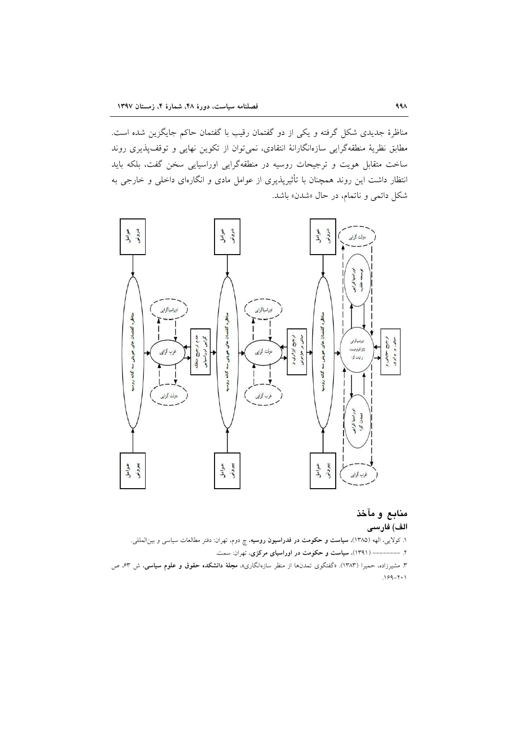مناظرهٔ جدیدی شکل گرفته و یکی از دو گفتمان رقیب با گفتمان حاکم جایگزین شده است. مطابق نظریهٔ منطقهگرایی سازهانگارانهٔ انتقادی، نمی توان از تکوین نهایی و توقف پذیری روند ساخت متقابل هویت و ترجیحات روسیه در منطقهگرایی اوراسیایی سخن گفت، بلکه باید انتظار داشت این روند همچنان با تأثیرپذیری از عوامل مادی و انگارهای داخلی و خارجی به شکل دائمی و ناتمام، در حال «شدن» باشد.



# منابع و مآخذ الف) فارسى

۱. کولایی، الهه (۱۳۸۵)، **سیاست و حکومت در فدراسیون روسیه**، چ دوم، تهران: دفتر مطالعات سیاسی و بین|لمللی.

۲. -------- (۱۳۹۱)، سیاست و حکومت در اوراسیای مرکزی، تهران: سمت.

۳. مشیرزاده، حمیرا (۱۳۸۳). «گفتگوی تمدنها از منظر سازهانگاری»، **مجلهٔ دانشکده حقوق و علوم سیاسی**، ش ۶۳ ص  $199 - 7.1$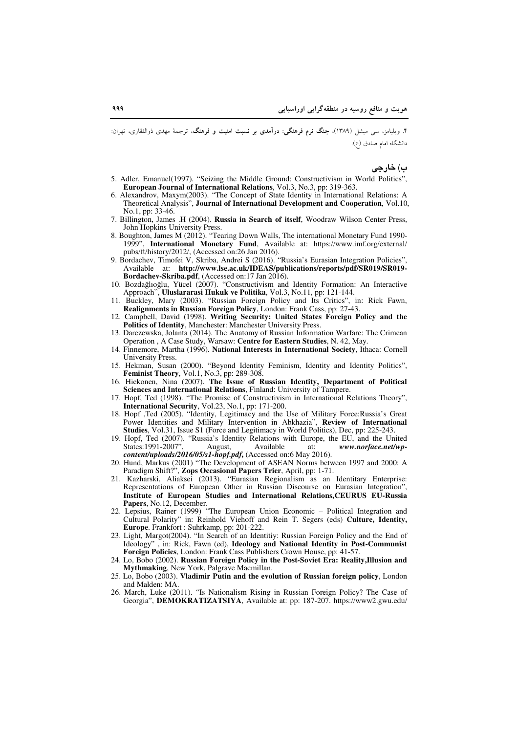۴. ویلیامز، سی میشل (۱۳۸۹)، <mark>جنگ نرم فرهنگی: درآمدی بر نسبت امنیت و فرهنگ</mark>، ترجمهٔ مهدی ذوالفقاری، تهران: دانشگاه امام صادق (ع).

ب) خارجي

- 5. Adler, Emanuel(1997). "Seizing the Middle Ground: Constructivism in World Politics". European Journal of International Relations, Vol.3, No.3, pp: 319-363.
- 6. Alexandrov, Maxym(2003). "The Concept of State Identity in International Relations: A Theoretical Analysis", Journal of International Development and Cooperation, Vol.10, No.1, pp: 33-46.
- 7. Billington, James .H (2004). Russia in Search of itself, Woodraw Wilson Center Press, John Hopkins University Press.
- 8. Boughton, James M (2012). "Tearing Down Walls, The international Monetary Fund 1990-1999", International Monetary Fund, Available at: https://www.imf.org/external/<br>pubs/ft/history/2012/, (Accessed on:26 Jan 2016).<br>9. Bordachev, Timofei V, Skriba, Andrei S (2016). "Russia's Eurasian Integration Policies",
- Available at: http://www.lse.ac.uk/IDEAS/publications/reports/pdf/SR019/SR019-Bordachev-Skriba.pdf, (Accessed on:17 Jan 2016).
- 10. Bozdağlıoğlu, Yücel (2007). "Constructivism and Identity Formation: An Interactive Approach", Uluslararasi Hukuk ve Politika, Vol.3, No.11, pp: 121-144.<br>11. Buckley, Mary (2003). "Russian Foreign Policy and Its Critics", in: Rick Fawn,
- Realignments in Russian Foreign Policy, London: Frank Cass, pp: 27-43.
- 12. Campbell, David (1998). Writing Security: United States Foreign Policy and the Politics of Identity, Manchester: Manchester University Press.
- 13. Darczewska, Jolanta (2014). The Anatomy of Russian Information Warfare: The Crimean Operation, A Case Study, Warsaw: Centre for Eastern Studies, N. 42, May.
- 14. Finnemore, Martha (1996). National Interests in International Society, Ithaca: Cornell University Press.
- 15. Hekman, Susan (2000). "Beyond Identity Feminism, Identity and Identity Politics", Feminist Theory, Vol.1, No.3, pp: 289-308.
- 16. Hiekonen, Nina (2007). The Issue of Russian Identity, Department of Political Sciences and International Relations, Finland: University of Tampere
- 17. Hopf, Ted (1998). "The Promise of Constructivism in International Relations Theory", International Security, Vol.23, No.1, pp: 171-200.
- 18. Hopf ,Ted (2005). "Identity, Legitimacy and the Use of Military Force:Russia's Great Power Identities and Military Intervention in Abkhazia", Review of International Studies, Vol.31, Issue S1 (Force and Legitimacy in World Politics), Dec, pp: 225-243.
- 19. Hopf, Ted (2007). "Russia's Identity Relations with Europe, the EU, and the United States: 1991-2007" Available August, at: www.norface.net/wpcontent/uploads/2016/05/s1-hopf.pdf, (Accessed on:6 May 2016).
- 20. Hund, Markus (2001) "The Development of ASEAN Norms between 1997 and 2000: A Paradigm Shift?", Zops Occasional Papers Trier, April, pp: 1-71.
- 21. Kazharski, Aliaksei (2013). "Eurasian Regionalism as an Identitary Enterprise: Representations of European Other in Russian Discourse on Eurasian Integration", Institute of European Studies and International Relations, CEURUS EU-Russia Papers, No.12, December.
- 22. Lepsius, Rainer (1999) "The European Union Economic Political Integration and Cultural Polarity" in: Reinhold Viehoff and Rein T. Segers (eds) Culture, Identity, Europe. Frankfort: Suhrkamp, pp: 201-222.
- 23. Light, Margot(2004). "In Search of an Identitiy: Russian Foreign Policy and the End of Ideology", in: Rick, Fawn (ed), Ideology and National Identity in Post-Communist Foreign Policies, London: Frank Cass Publishers Crown House, pp: 41-57.
- 24. Lo, Bobo (2002). Russian Foreign Policy in the Post-Soviet Era: Reality, Illusion and Mythmaking, New York, Palgrave Macmillan.
- 25. Lo, Bobo (2003). Vladimir Putin and the evolution of Russian foreign policy, London and Malden: MA.
- 26. March, Luke (2011). "Is Nationalism Rising in Russian Foreign Policy? The Case of Georgia", DEMOKRATIZATSIYA, Available at: pp: 187-207. https://www2.gwu.edu/